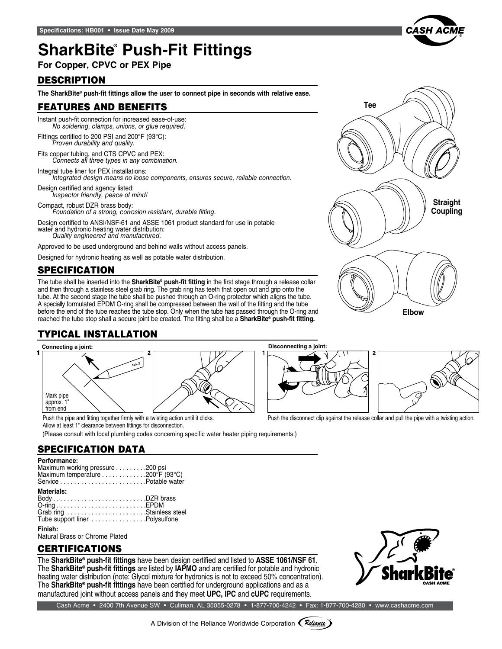# **SharkBite® Push-Fit Fittings**

**For Copper, CPVC or PEX Pipe**

## **DESCRIPTION**

**The SharkBite® push-fit fittings allow the user to connect pipe in seconds with relative ease.**

### features and benefits

Instant push-fit connection for increased ease-of-use: *No soldering, clamps, unions, or glue required.*

Fittings certified to 200 PSI and 200°F (93°C): *Proven durability and quality.*

Fits copper tubing, and CTS CPVC and PEX: *Connects all three types in any combination.*

Integral tube liner for PEX installations: *Integrated design means no loose components, ensures secure, reliable connection.*

Design certified and agency listed: *Inspector friendly, peace of mind!* 

Compact, robust DZR brass body: *Foundation of a strong, corrosion resistant, durable fitting.*

Design certified to ANSI/NSF-61 and ASSE 1061 product standard for use in potable water and hydronic heating water distribution: *Quality engineered and manufactured.*

Approved to be used underground and behind walls without access panels.

Designed for hydronic heating as well as potable water distribution.

## **SPECIFICATION**

The tube shall be inserted into the **SharkBite® push-fit fitting** in the first stage through a release collar and then through a stainless steel grab ring. The grab ring has teeth that open out and grip onto the tube. At the second stage the tube shall be pushed through an O-ring protector which aligns the tube. A specially formulated EPDM O-ring shall be compressed between the wall of the fitting and the tube before the end of the tube reaches the tube stop. Only when the tube has passed through the O-ring and reached the tube stop shall a secure joint be created. The fitting shall be a **SharkBite® push-fit fitting.**

## typical installation



Allow at least 1" clearance between fittings for disconnection.

(Please consult with local plumbing codes concerning specific water heater piping requirements.)

## specification data

#### **Performance:**

| Maximum working pressure 200 psi |  |
|----------------------------------|--|
| Maximum temperature 200°F (93°C) |  |
|                                  |  |
|                                  |  |

#### **Materials:**

| Grab ring Stainless steel      |  |
|--------------------------------|--|
| Tube support liner Polysulfone |  |

#### **Finish:**

Natural Brass or Chrome Plated

### **CERTIFICATIONS**

The **SharkBite® push-fit fittings** have been design certified and listed to **ASSE 1061/NSF 61**. The **SharkBite® push-fit fittings** are listed by **IAPMO** and are certified for potable and hydronic heating water distribution (note: Glycol mixture for hydronics is not to exceed 50% concentration). The **SharkBite® push-fit fittings** have been certified for underground applications and as a manufactured joint without access panels and they meet **UPC, IPC** and **cUPC** requirements.







Push the pipe and fitting together firmly with a twisting action until it clicks. Push the disconnect clip against the release collar and pull the pipe with a twisting action.